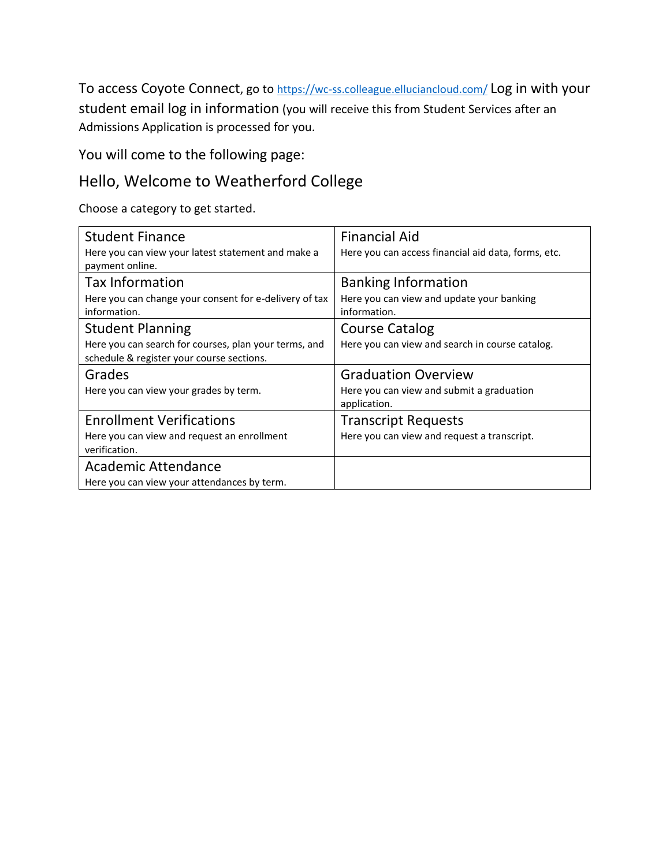To access Coyote Connect, go to <https://wc-ss.colleague.elluciancloud.com/> Log in with your student email log in information (you will receive this from Student Services after an Admissions Application is processed for you.

You will come to the following page:

## Hello, Welcome to Weatherford College

Choose a category to get started.

| <b>Student Finance</b>                                                                             | <b>Financial Aid</b>                                      |
|----------------------------------------------------------------------------------------------------|-----------------------------------------------------------|
| Here you can view your latest statement and make a<br>payment online.                              | Here you can access financial aid data, forms, etc.       |
| <b>Tax Information</b>                                                                             | <b>Banking Information</b>                                |
| Here you can change your consent for e-delivery of tax<br>information.                             | Here you can view and update your banking<br>information. |
| <b>Student Planning</b>                                                                            | <b>Course Catalog</b>                                     |
| Here you can search for courses, plan your terms, and<br>schedule & register your course sections. | Here you can view and search in course catalog.           |
| Grades                                                                                             | <b>Graduation Overview</b>                                |
| Here you can view your grades by term.                                                             | Here you can view and submit a graduation<br>application. |
| <b>Enrollment Verifications</b>                                                                    | <b>Transcript Requests</b>                                |
| Here you can view and request an enrollment<br>verification.                                       | Here you can view and request a transcript.               |
| <b>Academic Attendance</b>                                                                         |                                                           |
| Here you can view your attendances by term.                                                        |                                                           |